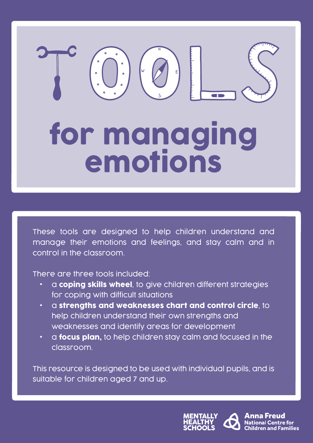# for managing emotions

These tools are designed to help children understand and manage their emotions and feelings, and stay calm and in control in the classroom.

There are three tools included:

- a coping skills wheel, to give children different strategies for coping with difficult situations
- a strengths and weaknesses chart and control circle, to help children understand their own strengths and weaknesses and identify areas for development
- a **focus plan,** to help children stay calm and focused in the classroom.

This resource is designed to be used with individual pupils, and is suitable for children aged 7 and up.



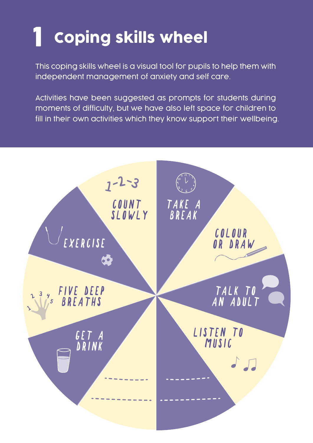### 1 Coping skills wheel

This coping skills wheel is a visual tool for pupils to help them with independent management of anxiety and self care.

Activities have been suggested as prompts for students during moments of difficulty, but we have also left space for children to fill in their own activities which they know support their wellbeing.

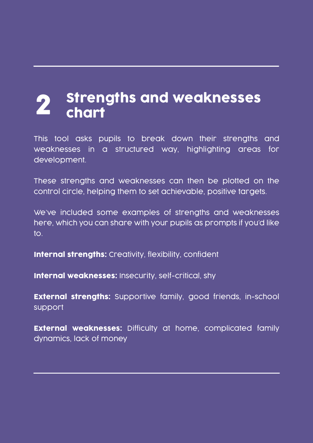## 2 Strengths and weaknesses<br>2 chart

This tool asks pupils to break down their strengths and weaknesses in a structured way, highlighting areas for development.

These strengths and weaknesses can then be plotted on the control circle, helping them to set achievable, positive targets.

We've included some examples of strengths and weaknesses here, which you can share with your pupils as prompts if you'd like to.

Internal strengths: Creativity, flexibility, confident

Internal weaknesses: Insecurity, self-critical, shy

**External strengths:** Supportive family, good friends, in-school support

External weaknesses: Difficulty at home, complicated family dynamics, lack of money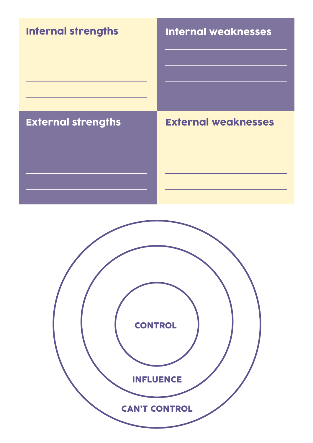